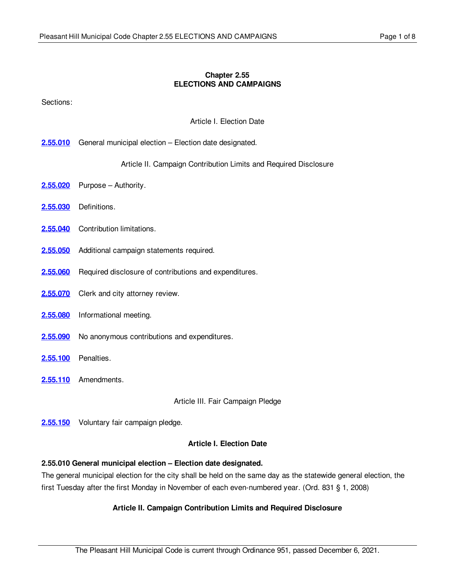#### **Chapter 2.55 ELECTIONS AND CAMPAIGNS**

Sections:

Article I. Election Date

**[2.55.010](#page-0-0)** General municipal election – Election date designated.

Article II. Campaign Contribution Limits and Required Disclosure

- **[2.55.020](#page-1-0)** Purpose Authority.
- **[2.55.030](#page-1-1)** Definitions.
- [2.55.040](#page-2-0) Contribution limitations.
- **[2.55.050](#page-3-0)** Additional campaign statements required.
- **[2.55.060](#page-4-0)** Required disclosure of contributions and expenditures.
- [2.55.070](#page-4-1) Clerk and city attorney review.
- **[2.55.080](#page-5-0)** Informational meeting.
- [2.55.090](#page-5-1) No anonymous contributions and expenditures.
- **[2.55.100](#page-5-2)** Penalties.
- **[2.55.110](#page-6-0)** Amendments.

Article III. Fair Campaign Pledge

**[2.55.150](#page-6-1)** Voluntary fair campaign pledge.

#### **Article I. Election Date**

# <span id="page-0-0"></span>**2.55.010 General municipal election – Election date designated.**

The general municipal election for the city shall be held on the same day as the statewide general election, the first Tuesday after the first Monday in November of each even-numbered year. (Ord. 831 § 1, 2008)

# **Article II. Campaign Contribution Limits and Required Disclosure**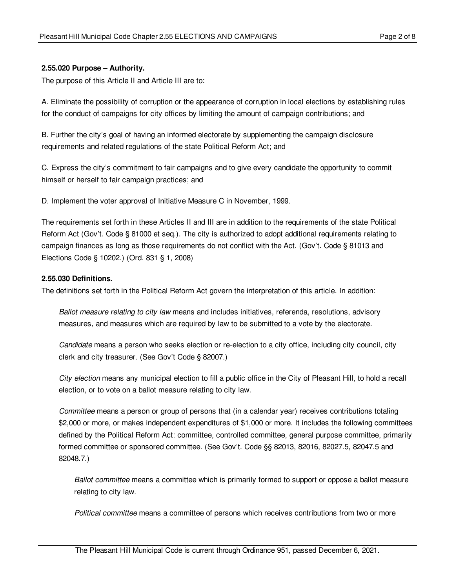#### <span id="page-1-0"></span>**2.55.020 Purpose – Authority.**

The purpose of this Article II and Article III are to:

A. Eliminate the possibility of corruption or the appearance of corruption in local elections by establishing rules for the conduct of campaigns for city offices by limiting the amount of campaign contributions; and

B. Further the city's goal of having an informed electorate by supplementing the campaign disclosure requirements and related regulations of the state Political Reform Act; and

C. Express the city's commitment to fair campaigns and to give every candidate the opportunity to commit himself or herself to fair campaign practices; and

D. Implement the voter approval of Initiative Measure C in November, 1999.

The requirements set forth in these Articles II and III are in addition to the requirements of the state Political Reform Act (Gov't. Code § 81000 et seq.). The city is authorized to adopt additional requirements relating to campaign finances as long as those requirements do not conflict with the Act. (Gov't. Code § 81013 and Elections Code § 10202.) (Ord. 831 § 1, 2008)

#### <span id="page-1-1"></span>**2.55.030 Definitions.**

The definitions set forth in the Political Reform Act govern the interpretation of this article. In addition:

*Ballot measure relating to city law* means and includes initiatives, referenda, resolutions, advisory measures, and measures which are required by law to be submitted to a vote by the electorate.

*Candidate* means a person who seeks election or re-election to a city office, including city council, city clerk and city treasurer. (See Gov't Code § 82007.)

*City election* means any municipal election to fill a public office in the City of Pleasant Hill, to hold a recall election, or to vote on a ballot measure relating to city law.

*Committee* means a person or group of persons that (in a calendar year) receives contributions totaling \$2,000 or more, or makes independent expenditures of \$1,000 or more. It includes the following committees defined by the Political Reform Act: committee, controlled committee, general purpose committee, primarily formed committee or sponsored committee. (See Gov't. Code §§ 82013, 82016, 82027.5, 82047.5 and 82048.7.)

*Ballot committee* means a committee which is primarily formed to support or oppose a ballot measure relating to city law.

*Political committee* means a committee of persons which receives contributions from two or more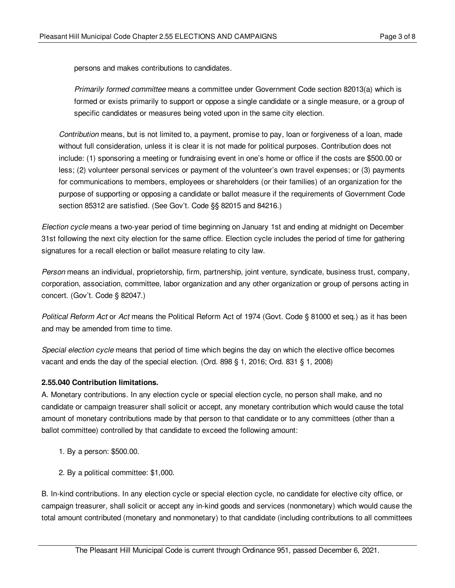persons and makes contributions to candidates.

*Primarily formed committee* means a committee under Government Code section 82013(a) which is formed or exists primarily to support or oppose a single candidate or a single measure, or a group of specific candidates or measures being voted upon in the same city election.

*Contribution* means, but is not limited to, a payment, promise to pay, loan or forgiveness of a loan, made without full consideration, unless it is clear it is not made for political purposes. Contribution does not include: (1) sponsoring a meeting or fundraising event in one's home or office if the costs are \$500.00 or less; (2) volunteer personal services or payment of the volunteer's own travel expenses; or (3) payments for communications to members, employees or shareholders (or their families) of an organization for the purpose of supporting or opposing a candidate or ballot measure if the requirements of Government Code section 85312 are satisfied. (See Gov't. Code §§ 82015 and 84216.)

*Election cycle* means a two-year period of time beginning on January 1st and ending at midnight on December 31st following the next city election for the same office. Election cycle includes the period of time for gathering signatures for a recall election or ballot measure relating to city law.

*Person* means an individual, proprietorship, firm, partnership, joint venture, syndicate, business trust, company, corporation, association, committee, labor organization and any other organization or group of persons acting in concert. (Gov't. Code § 82047.)

*Political Reform Act* or *Act* means the Political Reform Act of 1974 (Govt. Code § 81000 et seq.) as it has been and may be amended from time to time.

*Special election cycle* means that period of time which begins the day on which the elective office becomes vacant and ends the day of the special election. (Ord. 898 § 1, 2016; Ord. 831 § 1, 2008)

## <span id="page-2-0"></span>**2.55.040 Contribution limitations.**

A. Monetary contributions. In any election cycle or special election cycle, no person shall make, and no candidate or campaign treasurer shall solicit or accept, any monetary contribution which would cause the total amount of monetary contributions made by that person to that candidate or to any committees (other than a ballot committee) controlled by that candidate to exceed the following amount:

- 1. By a person: \$500.00.
- 2. By a political committee: \$1,000.

B. In-kind contributions. In any election cycle or special election cycle, no candidate for elective city office, or campaign treasurer, shall solicit or accept any in-kind goods and services (nonmonetary) which would cause the total amount contributed (monetary and nonmonetary) to that candidate (including contributions to all committees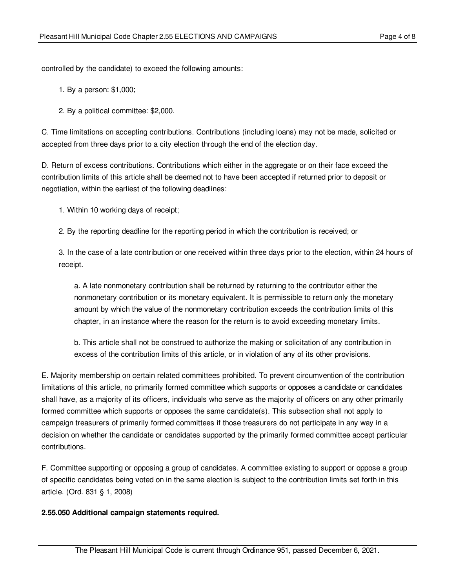controlled by the candidate) to exceed the following amounts:

- 1. By a person: \$1,000;
- 2. By a political committee: \$2,000.

C. Time limitations on accepting contributions. Contributions (including loans) may not be made, solicited or accepted from three days prior to a city election through the end of the election day.

D. Return of excess contributions. Contributions which either in the aggregate or on their face exceed the contribution limits of this article shall be deemed not to have been accepted if returned prior to deposit or negotiation, within the earliest of the following deadlines:

- 1. Within 10 working days of receipt;
- 2. By the reporting deadline for the reporting period in which the contribution is received; or

3. In the case of a late contribution or one received within three days prior to the election, within 24 hours of receipt.

a. A late nonmonetary contribution shall be returned by returning to the contributor either the nonmonetary contribution or its monetary equivalent. It is permissible to return only the monetary amount by which the value of the nonmonetary contribution exceeds the contribution limits of this chapter, in an instance where the reason for the return is to avoid exceeding monetary limits.

b. This article shall not be construed to authorize the making or solicitation of any contribution in excess of the contribution limits of this article, or in violation of any of its other provisions.

E. Majority membership on certain related committees prohibited. To prevent circumvention of the contribution limitations of this article, no primarily formed committee which supports or opposes a candidate or candidates shall have, as a majority of its officers, individuals who serve as the majority of officers on any other primarily formed committee which supports or opposes the same candidate(s). This subsection shall not apply to campaign treasurers of primarily formed committees if those treasurers do not participate in any way in a decision on whether the candidate or candidates supported by the primarily formed committee accept particular contributions.

F. Committee supporting or opposing a group of candidates. A committee existing to support or oppose a group of specific candidates being voted on in the same election is subject to the contribution limits set forth in this article. (Ord. 831 § 1, 2008)

#### <span id="page-3-0"></span>**2.55.050 Additional campaign statements required.**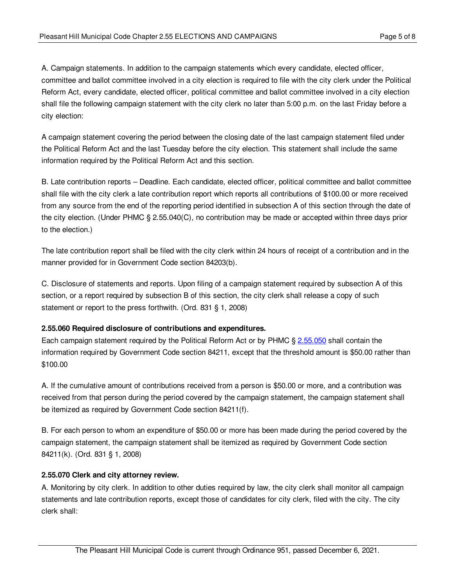A. Campaign statements. In addition to the campaign statements which every candidate, elected officer, committee and ballot committee involved in a city election is required to file with the city clerk under the Political Reform Act, every candidate, elected officer, political committee and ballot committee involved in a city election shall file the following campaign statement with the city clerk no later than 5:00 p.m. on the last Friday before a city election:

A campaign statement covering the period between the closing date of the last campaign statement filed under the Political Reform Act and the last Tuesday before the city election. This statement shall include the same information required by the Political Reform Act and this section.

B. Late contribution reports – Deadline. Each candidate, elected officer, political committee and ballot committee shall file with the city clerk a late contribution report which reports all contributions of \$100.00 or more received from any source from the end of the reporting period identified in subsection A of this section through the date of the city election. (Under PHMC § 2.55.040(C), no contribution may be made or accepted within three days prior to the election.)

The late contribution report shall be filed with the city clerk within 24 hours of receipt of a contribution and in the manner provided for in Government Code section 84203(b).

C. Disclosure of statements and reports. Upon filing of a campaign statement required by subsection A of this section, or a report required by subsection B of this section, the city clerk shall release a copy of such statement or report to the press forthwith. (Ord. 831 § 1, 2008)

## <span id="page-4-0"></span>**2.55.060 Required disclosure of contributions and expenditures.**

Each campaign statement required by the Political Reform Act or by PHMC § [2.55.050](#page-3-0) shall contain the information required by Government Code section 84211, except that the threshold amount is \$50.00 rather than \$100.00

A. If the cumulative amount of contributions received from a person is \$50.00 or more, and a contribution was received from that person during the period covered by the campaign statement, the campaign statement shall be itemized as required by Government Code section 84211(f).

B. For each person to whom an expenditure of \$50.00 or more has been made during the period covered by the campaign statement, the campaign statement shall be itemized as required by Government Code section 84211(k). (Ord. 831 § 1, 2008)

## <span id="page-4-1"></span>**2.55.070 Clerk and city attorney review.**

A. Monitoring by city clerk. In addition to other duties required by law, the city clerk shall monitor all campaign statements and late contribution reports, except those of candidates for city clerk, filed with the city. The city clerk shall: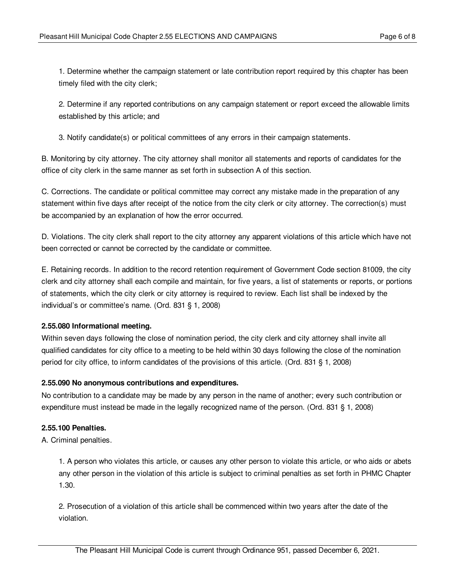1. Determine whether the campaign statement or late contribution report required by this chapter has been timely filed with the city clerk;

2. Determine if any reported contributions on any campaign statement or report exceed the allowable limits established by this article; and

3. Notify candidate(s) or political committees of any errors in their campaign statements.

B. Monitoring by city attorney. The city attorney shall monitor all statements and reports of candidates for the office of city clerk in the same manner as set forth in subsection A of this section.

C. Corrections. The candidate or political committee may correct any mistake made in the preparation of any statement within five days after receipt of the notice from the city clerk or city attorney. The correction(s) must be accompanied by an explanation of how the error occurred.

D. Violations. The city clerk shall report to the city attorney any apparent violations of this article which have not been corrected or cannot be corrected by the candidate or committee.

E. Retaining records. In addition to the record retention requirement of Government Code section 81009, the city clerk and city attorney shall each compile and maintain, for five years, a list of statements or reports, or portions of statements, which the city clerk or city attorney is required to review. Each list shall be indexed by the individual's or committee's name. (Ord. 831 § 1, 2008)

## <span id="page-5-0"></span>**2.55.080 Informational meeting.**

Within seven days following the close of nomination period, the city clerk and city attorney shall invite all qualified candidates for city office to a meeting to be held within 30 days following the close of the nomination period for city office, to inform candidates of the provisions of this article. (Ord. 831 § 1, 2008)

## <span id="page-5-1"></span>**2.55.090 No anonymous contributions and expenditures.**

No contribution to a candidate may be made by any person in the name of another; every such contribution or expenditure must instead be made in the legally recognized name of the person. (Ord. 831 § 1, 2008)

## <span id="page-5-2"></span>**2.55.100 Penalties.**

A. Criminal penalties.

1. A person who violates this article, or causes any other person to violate this article, or who aids or abets any other person in the violation of this article is subject to criminal penalties as set forth in PHMC Chapter 1.30.

2. Prosecution of a violation of this article shall be commenced within two years after the date of the violation.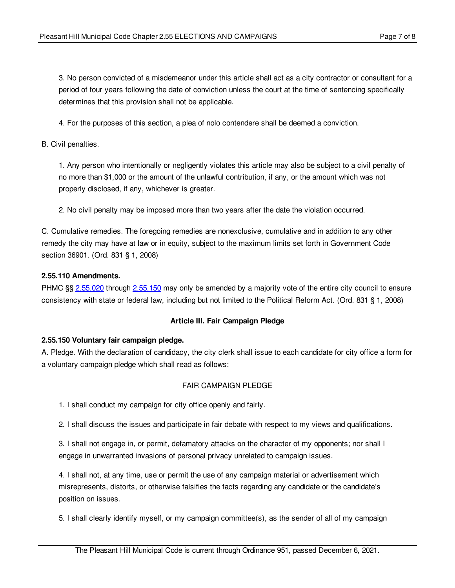3. No person convicted of a misdemeanor under this article shall act as a city contractor or consultant for a period of four years following the date of conviction unless the court at the time of sentencing specifically determines that this provision shall not be applicable.

4. For the purposes of this section, a plea of nolo contendere shall be deemed a conviction.

B. Civil penalties.

1. Any person who intentionally or negligently violates this article may also be subject to a civil penalty of no more than \$1,000 or the amount of the unlawful contribution, if any, or the amount which was not properly disclosed, if any, whichever is greater.

2. No civil penalty may be imposed more than two years after the date the violation occurred.

C. Cumulative remedies. The foregoing remedies are nonexclusive, cumulative and in addition to any other remedy the city may have at law or in equity, subject to the maximum limits set forth in Government Code section 36901. (Ord. 831 § 1, 2008)

#### <span id="page-6-0"></span>**2.55.110 Amendments.**

PHMC §§ [2.55.020](#page-1-0) through [2.55.150](#page-6-1) may only be amended by a majority vote of the entire city council to ensure consistency with state or federal law, including but not limited to the Political Reform Act. (Ord. 831 § 1, 2008)

## **Article III. Fair Campaign Pledge**

#### <span id="page-6-1"></span>**2.55.150 Voluntary fair campaign pledge.**

A. Pledge. With the declaration of candidacy, the city clerk shall issue to each candidate for city office a form for a voluntary campaign pledge which shall read as follows:

## FAIR CAMPAIGN PLEDGE

1. I shall conduct my campaign for city office openly and fairly.

2. I shall discuss the issues and participate in fair debate with respect to my views and qualifications.

3. I shall not engage in, or permit, defamatory attacks on the character of my opponents; nor shall I engage in unwarranted invasions of personal privacy unrelated to campaign issues.

4. I shall not, at any time, use or permit the use of any campaign material or advertisement which misrepresents, distorts, or otherwise falsifies the facts regarding any candidate or the candidate's position on issues.

5. I shall clearly identify myself, or my campaign committee(s), as the sender of all of my campaign